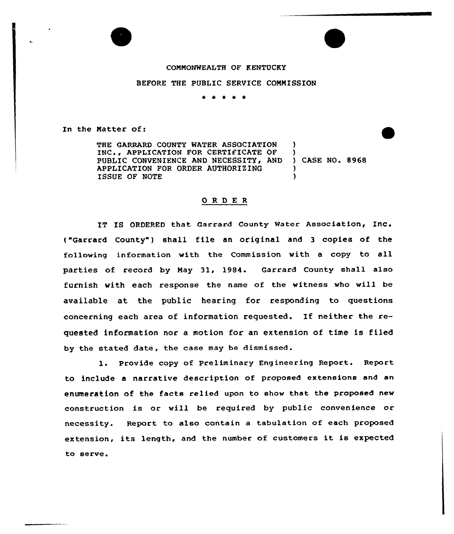## COMMONWEALTH OF KENTUCKY

## BEFORE THE PUBLIC SERVICE COMMISSION

\* \* \* \* \*

In the Natter of:

THE GARRARD COUNTY WATER ASSOCIATION ) INC., APPLICATION FOR CERTIFICATE OF )<br>PUBLIC CONVENIENCE AND NECESSITY, AND ) CASE NO. 8968 PUBLIC CONVENIENCE AND NECESSITY, AND )<br>APPLICATION FOR ORDER AUTHORIZING APPLICATION FOR ORDER AUTHORIZING )<br>
ISSUE OF NOTE ISSUE OF NOTE )

## ORDER

IT IS ORDERED that Garrard County Water Association, Inc. ("Garrard County") shall file an original and 3 copies of the following information with the Commission with <sup>a</sup> copy to all parties of record by May 31, 1984. Garrard County shall also furnish with each response the name of the witness who will be available at the public hearing for responding to questions concerning each area of information requested. If neither the requested information nor a motion for an extension of time is filed by the stated date, the case may be dismissed.

1. Provide copy of Preliminary Engineering Report. Report to include a narrative description of proposed extensions and an enumeration of the facts relied upon to show that the proposed new construction is or will be required by public convenience or necessity. Report to also contain a tabulation of each proposed extension, its length, and the number <sup>o</sup>f customers it is expected to serve.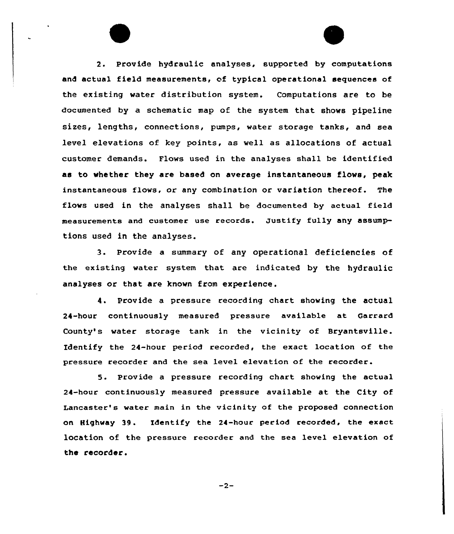2. Provide hydraulic analyses, supported by computations and actual field measurements, of typical operational sequences of the existing water distribution system. Computations are to be documented by a schematic map of the system that shows pipeline sizes, lengths, connections, pumps, water storage tanks, and sea level elevations of key points, as well as allocations of actual customer demands. Flows used in the analyses shall be identified as to whether they are based on average instantaneous flows, peak instantaneous flows, or any combination or variation thereof. The flaws used in the analyses shall be documented by actual field measurements and customer use records. Justify fully any assumptions used in the analyses.

3. Provide <sup>a</sup> summary of any operational deficiencies of the existing water system that are indicated by the hydraulic analyses or that are known from experience.

4. Provide a pressure recording chart showing the actual 24-hour continuously measured pressure available at Garrard County's water storage tank in the vicinity of Bryantsville. Identify the 24-hour period recorded, the exact location of the pressure recorder and the sea 1evel elevation of the recorder.

5. provide <sup>a</sup> pressure recording chart showing the actual 24-hour continuously measured pressure available at the City of. Lancaster's water main in the vicinity of the proposed connection on Highway 39. Identify the 24-hour period recorded, the exact location of the pressure recorder and the sea level elevation of the recorder.

 $-2-$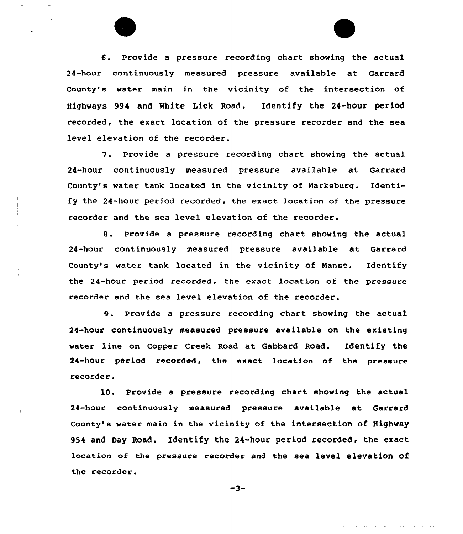6. Provide a pressure recording chart showing the actual 24-hour continuously measured pressure available at Garrard County's water main in the vicinity of the intersection of Highways 994 and White Lick Road. Identify the 24-hour period recorded, the exact location of the pressure recorder and the sea level elevation of the recorder.

7. Provide <sup>a</sup> pressure recording chart showing the actual 24-hour continuously measured pressure available at Garrard County's water tank located in the vicinity of Narksburg. Identify the 24-hour period recorded, the exact location of the pressure recorder and the sea level elevation of the recorder.

8. Provide <sup>a</sup> pressure recording chart showing the actual 24-hour continuously measured pressure available at Garrard County's water tank located in the vicinity of Nanse. Identify the 24-hour period recorded, the exact location of the pressure recorder and the sea level elevation of the recorder.

9. Provide <sup>a</sup> pressure recording chart showing the actual 24-hour continuously measured pressure available on the existing water line on Copper Creek Road at Gabbard Road. Identify the 24-hour period recorded, the exact location of the pressure recorder.

10. Provide a pressure recording chart showing the actual 24-hour continuously measured pressure available at Garrard County's water main in the vicinity of the intersection of Highway 954 and Day Road. Identify the 24-hour period recorded, the exact location of the pressure recorder and the sea level elevation of the recorder.

 $-3-$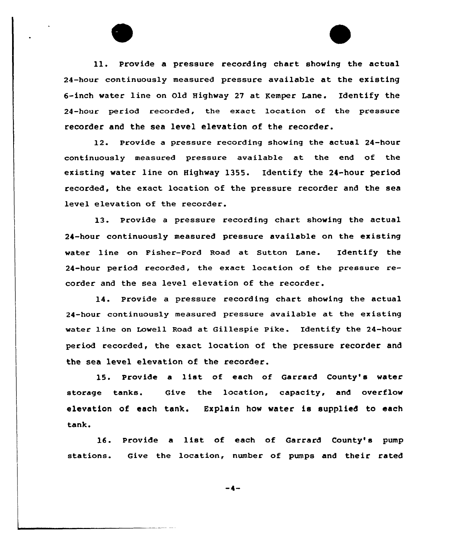ll. Provide <sup>a</sup> pressure recording chart showing the actual 24-hour continuously measured pressure available at the existing 6-inch water line on Old Highway 27 at Kemper Lane. Identify the 24-hour period recorded, the exact location of the pressure recorder and the sea level elevation of the recorder.

12. Provide a pressure recording shoving the actual 24-hour continuously measured pressure available at the end of the existing water line on Highvay 1355. Identify the 24-hour period recorded, the exact location of the pressure recorder and the sea level elevation of the recorder.

13. provide <sup>a</sup> pressure recording chart showing the actual 24-hour continuously measured pressure available on the existing water line on Fisher-Ford Road at Sutton Lane. Identify the 24-hour period recorded, the exact location of the pressure recorder and the sea level elevation of the recorder.

14. Provide a pressure recording chart shoving the actual 24-hour continuously measured pressure available at the existing water line on Lowell Road at Gillespie Pike. Identify the 24-hour period recorded, the exact location of the pressure recorder and the sea level elevation of the recorder.

15. Provide <sup>a</sup> list of each of Garrard County's water storage tanks. Give the location, capacity, and overflow elevation of each tank. Explain how water is supplied to each tank.

16. Provide a list of each of Garrard County's pump stations. Give the location, number of pumps and their rated

-4-